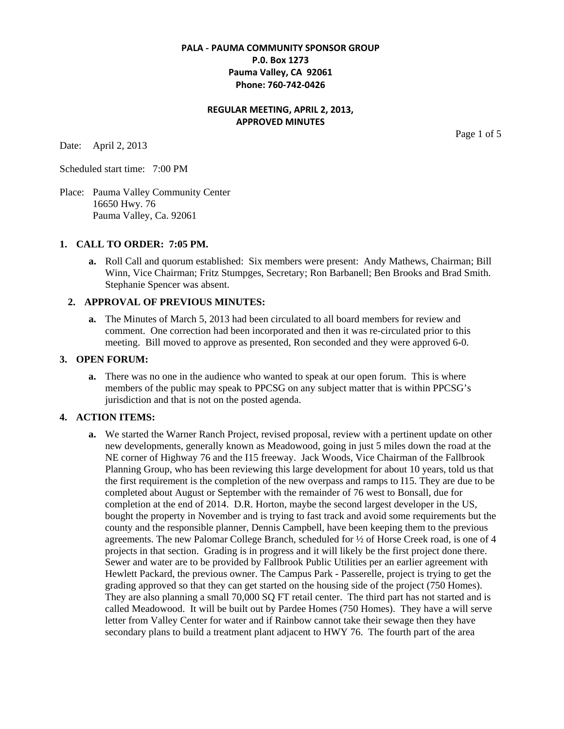## **PALA - PAUMA COMMUNITY SPONSOR GROUP P.0. Box 1273 Pauma Valley, CA 92061 Phone: 760-742-0426**

# **REGULAR MEETING, APRIL 2, 2013, APPROVED MINUTES**

Date: April 2, 2013

Scheduled start time: 7:00 PM

Place: Pauma Valley Community Center 16650 Hwy. 76 Pauma Valley, Ca. 92061

#### **1. CALL TO ORDER: 7:05 PM.**

**a.** Roll Call and quorum established: Six members were present: Andy Mathews, Chairman; Bill Winn, Vice Chairman; Fritz Stumpges, Secretary; Ron Barbanell; Ben Brooks and Brad Smith. Stephanie Spencer was absent.

### **2. APPROVAL OF PREVIOUS MINUTES:**

**a.** The Minutes of March 5, 2013 had been circulated to all board members for review and comment. One correction had been incorporated and then it was re-circulated prior to this meeting. Bill moved to approve as presented, Ron seconded and they were approved 6-0.

#### **3. OPEN FORUM:**

**a.** There was no one in the audience who wanted to speak at our open forum. This is where members of the public may speak to PPCSG on any subject matter that is within PPCSG's jurisdiction and that is not on the posted agenda.

#### **4. ACTION ITEMS:**

**a.** We started the Warner Ranch Project, revised proposal, review with a pertinent update on other new developments, generally known as Meadowood, going in just 5 miles down the road at the NE corner of Highway 76 and the I15 freeway. Jack Woods, Vice Chairman of the Fallbrook Planning Group, who has been reviewing this large development for about 10 years, told us that the first requirement is the completion of the new overpass and ramps to I15. They are due to be completed about August or September with the remainder of 76 west to Bonsall, due for completion at the end of 2014. D.R. Horton, maybe the second largest developer in the US, bought the property in November and is trying to fast track and avoid some requirements but the county and the responsible planner, Dennis Campbell, have been keeping them to the previous agreements. The new Palomar College Branch, scheduled for ½ of Horse Creek road, is one of 4 projects in that section. Grading is in progress and it will likely be the first project done there. Sewer and water are to be provided by Fallbrook Public Utilities per an earlier agreement with Hewlett Packard, the previous owner. The Campus Park - Passerelle, project is trying to get the grading approved so that they can get started on the housing side of the project (750 Homes). They are also planning a small 70,000 SQ FT retail center. The third part has not started and is called Meadowood. It will be built out by Pardee Homes (750 Homes). They have a will serve letter from Valley Center for water and if Rainbow cannot take their sewage then they have secondary plans to build a treatment plant adjacent to HWY 76. The fourth part of the area

Page 1 of 5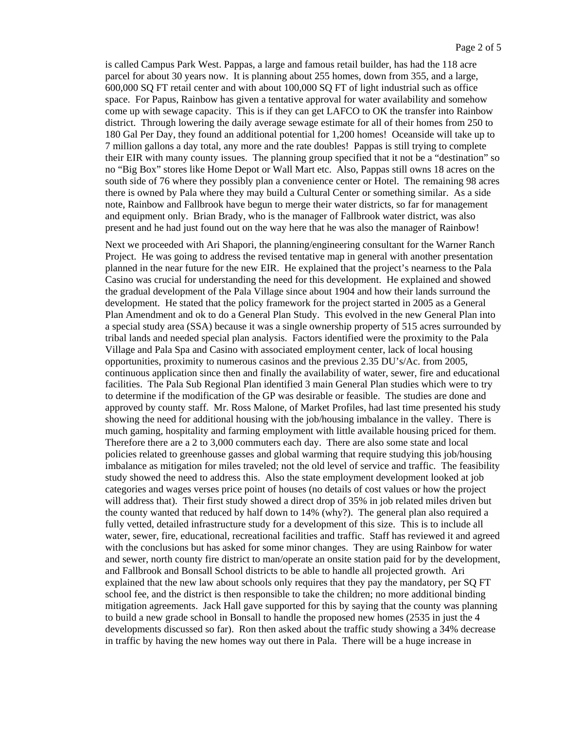is called Campus Park West. Pappas, a large and famous retail builder, has had the 118 acre parcel for about 30 years now. It is planning about 255 homes, down from 355, and a large, 600,000 SQ FT retail center and with about 100,000 SQ FT of light industrial such as office space. For Papus, Rainbow has given a tentative approval for water availability and somehow come up with sewage capacity. This is if they can get LAFCO to OK the transfer into Rainbow district. Through lowering the daily average sewage estimate for all of their homes from 250 to 180 Gal Per Day, they found an additional potential for 1,200 homes! Oceanside will take up to 7 million gallons a day total, any more and the rate doubles! Pappas is still trying to complete their EIR with many county issues. The planning group specified that it not be a "destination" so no "Big Box" stores like Home Depot or Wall Mart etc. Also, Pappas still owns 18 acres on the south side of 76 where they possibly plan a convenience center or Hotel. The remaining 98 acres there is owned by Pala where they may build a Cultural Center or something similar. As a side note, Rainbow and Fallbrook have begun to merge their water districts, so far for management and equipment only. Brian Brady, who is the manager of Fallbrook water district, was also present and he had just found out on the way here that he was also the manager of Rainbow!

Next we proceeded with Ari Shapori, the planning/engineering consultant for the Warner Ranch Project. He was going to address the revised tentative map in general with another presentation planned in the near future for the new EIR. He explained that the project's nearness to the Pala Casino was crucial for understanding the need for this development. He explained and showed the gradual development of the Pala Village since about 1904 and how their lands surround the development. He stated that the policy framework for the project started in 2005 as a General Plan Amendment and ok to do a General Plan Study. This evolved in the new General Plan into a special study area (SSA) because it was a single ownership property of 515 acres surrounded by tribal lands and needed special plan analysis. Factors identified were the proximity to the Pala Village and Pala Spa and Casino with associated employment center, lack of local housing opportunities, proximity to numerous casinos and the previous 2.35 DU's/Ac. from 2005, continuous application since then and finally the availability of water, sewer, fire and educational facilities. The Pala Sub Regional Plan identified 3 main General Plan studies which were to try to determine if the modification of the GP was desirable or feasible. The studies are done and approved by county staff. Mr. Ross Malone, of Market Profiles, had last time presented his study showing the need for additional housing with the job/housing imbalance in the valley. There is much gaming, hospitality and farming employment with little available housing priced for them. Therefore there are a 2 to 3,000 commuters each day. There are also some state and local policies related to greenhouse gasses and global warming that require studying this job/housing imbalance as mitigation for miles traveled; not the old level of service and traffic. The feasibility study showed the need to address this. Also the state employment development looked at job categories and wages verses price point of houses (no details of cost values or how the project will address that). Their first study showed a direct drop of 35% in job related miles driven but the county wanted that reduced by half down to 14% (why?). The general plan also required a fully vetted, detailed infrastructure study for a development of this size. This is to include all water, sewer, fire, educational, recreational facilities and traffic. Staff has reviewed it and agreed with the conclusions but has asked for some minor changes. They are using Rainbow for water and sewer, north county fire district to man/operate an onsite station paid for by the development, and Fallbrook and Bonsall School districts to be able to handle all projected growth. Ari explained that the new law about schools only requires that they pay the mandatory, per SQ FT school fee, and the district is then responsible to take the children; no more additional binding mitigation agreements. Jack Hall gave supported for this by saying that the county was planning to build a new grade school in Bonsall to handle the proposed new homes (2535 in just the 4 developments discussed so far). Ron then asked about the traffic study showing a 34% decrease in traffic by having the new homes way out there in Pala. There will be a huge increase in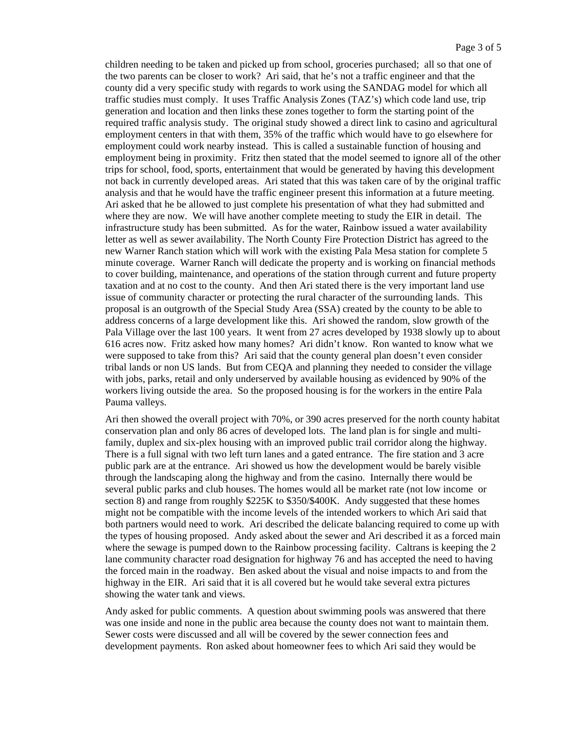children needing to be taken and picked up from school, groceries purchased; all so that one of the two parents can be closer to work? Ari said, that he's not a traffic engineer and that the county did a very specific study with regards to work using the SANDAG model for which all traffic studies must comply. It uses Traffic Analysis Zones (TAZ's) which code land use, trip generation and location and then links these zones together to form the starting point of the required traffic analysis study. The original study showed a direct link to casino and agricultural employment centers in that with them, 35% of the traffic which would have to go elsewhere for employment could work nearby instead. This is called a sustainable function of housing and employment being in proximity. Fritz then stated that the model seemed to ignore all of the other trips for school, food, sports, entertainment that would be generated by having this development not back in currently developed areas. Ari stated that this was taken care of by the original traffic analysis and that he would have the traffic engineer present this information at a future meeting. Ari asked that he be allowed to just complete his presentation of what they had submitted and where they are now. We will have another complete meeting to study the EIR in detail. The infrastructure study has been submitted. As for the water, Rainbow issued a water availability letter as well as sewer availability. The North County Fire Protection District has agreed to the new Warner Ranch station which will work with the existing Pala Mesa station for complete 5 minute coverage. Warner Ranch will dedicate the property and is working on financial methods to cover building, maintenance, and operations of the station through current and future property taxation and at no cost to the county. And then Ari stated there is the very important land use issue of community character or protecting the rural character of the surrounding lands. This proposal is an outgrowth of the Special Study Area (SSA) created by the county to be able to address concerns of a large development like this. Ari showed the random, slow growth of the Pala Village over the last 100 years. It went from 27 acres developed by 1938 slowly up to about 616 acres now. Fritz asked how many homes? Ari didn't know. Ron wanted to know what we were supposed to take from this? Ari said that the county general plan doesn't even consider tribal lands or non US lands. But from CEQA and planning they needed to consider the village with jobs, parks, retail and only underserved by available housing as evidenced by 90% of the workers living outside the area. So the proposed housing is for the workers in the entire Pala Pauma valleys.

Ari then showed the overall project with 70%, or 390 acres preserved for the north county habitat conservation plan and only 86 acres of developed lots. The land plan is for single and multifamily, duplex and six-plex housing with an improved public trail corridor along the highway. There is a full signal with two left turn lanes and a gated entrance. The fire station and 3 acre public park are at the entrance. Ari showed us how the development would be barely visible through the landscaping along the highway and from the casino. Internally there would be several public parks and club houses. The homes would all be market rate (not low income or section 8) and range from roughly \$225K to \$350/\$400K. Andy suggested that these homes might not be compatible with the income levels of the intended workers to which Ari said that both partners would need to work. Ari described the delicate balancing required to come up with the types of housing proposed. Andy asked about the sewer and Ari described it as a forced main where the sewage is pumped down to the Rainbow processing facility. Caltrans is keeping the 2 lane community character road designation for highway 76 and has accepted the need to having the forced main in the roadway. Ben asked about the visual and noise impacts to and from the highway in the EIR. Ari said that it is all covered but he would take several extra pictures showing the water tank and views.

Andy asked for public comments. A question about swimming pools was answered that there was one inside and none in the public area because the county does not want to maintain them. Sewer costs were discussed and all will be covered by the sewer connection fees and development payments. Ron asked about homeowner fees to which Ari said they would be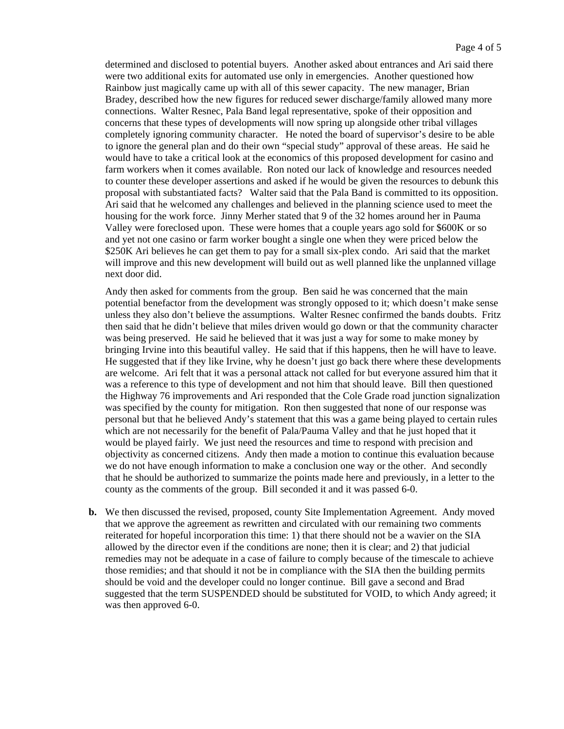determined and disclosed to potential buyers. Another asked about entrances and Ari said there were two additional exits for automated use only in emergencies. Another questioned how Rainbow just magically came up with all of this sewer capacity. The new manager, Brian Bradey, described how the new figures for reduced sewer discharge/family allowed many more connections. Walter Resnec, Pala Band legal representative, spoke of their opposition and concerns that these types of developments will now spring up alongside other tribal villages completely ignoring community character. He noted the board of supervisor's desire to be able to ignore the general plan and do their own "special study" approval of these areas. He said he would have to take a critical look at the economics of this proposed development for casino and farm workers when it comes available. Ron noted our lack of knowledge and resources needed to counter these developer assertions and asked if he would be given the resources to debunk this proposal with substantiated facts? Walter said that the Pala Band is committed to its opposition. Ari said that he welcomed any challenges and believed in the planning science used to meet the housing for the work force. Jinny Merher stated that 9 of the 32 homes around her in Pauma Valley were foreclosed upon. These were homes that a couple years ago sold for \$600K or so and yet not one casino or farm worker bought a single one when they were priced below the \$250K Ari believes he can get them to pay for a small six-plex condo. Ari said that the market will improve and this new development will build out as well planned like the unplanned village next door did.

Andy then asked for comments from the group. Ben said he was concerned that the main potential benefactor from the development was strongly opposed to it; which doesn't make sense unless they also don't believe the assumptions. Walter Resnec confirmed the bands doubts. Fritz then said that he didn't believe that miles driven would go down or that the community character was being preserved. He said he believed that it was just a way for some to make money by bringing Irvine into this beautiful valley. He said that if this happens, then he will have to leave. He suggested that if they like Irvine, why he doesn't just go back there where these developments are welcome. Ari felt that it was a personal attack not called for but everyone assured him that it was a reference to this type of development and not him that should leave. Bill then questioned the Highway 76 improvements and Ari responded that the Cole Grade road junction signalization was specified by the county for mitigation. Ron then suggested that none of our response was personal but that he believed Andy's statement that this was a game being played to certain rules which are not necessarily for the benefit of Pala/Pauma Valley and that he just hoped that it would be played fairly. We just need the resources and time to respond with precision and objectivity as concerned citizens. Andy then made a motion to continue this evaluation because we do not have enough information to make a conclusion one way or the other. And secondly that he should be authorized to summarize the points made here and previously, in a letter to the county as the comments of the group. Bill seconded it and it was passed 6-0.

**b.** We then discussed the revised, proposed, county Site Implementation Agreement. Andy moved that we approve the agreement as rewritten and circulated with our remaining two comments reiterated for hopeful incorporation this time: 1) that there should not be a wavier on the SIA allowed by the director even if the conditions are none; then it is clear; and 2) that judicial remedies may not be adequate in a case of failure to comply because of the timescale to achieve those remidies; and that should it not be in compliance with the SIA then the building permits should be void and the developer could no longer continue. Bill gave a second and Brad suggested that the term SUSPENDED should be substituted for VOID, to which Andy agreed; it was then approved 6-0.